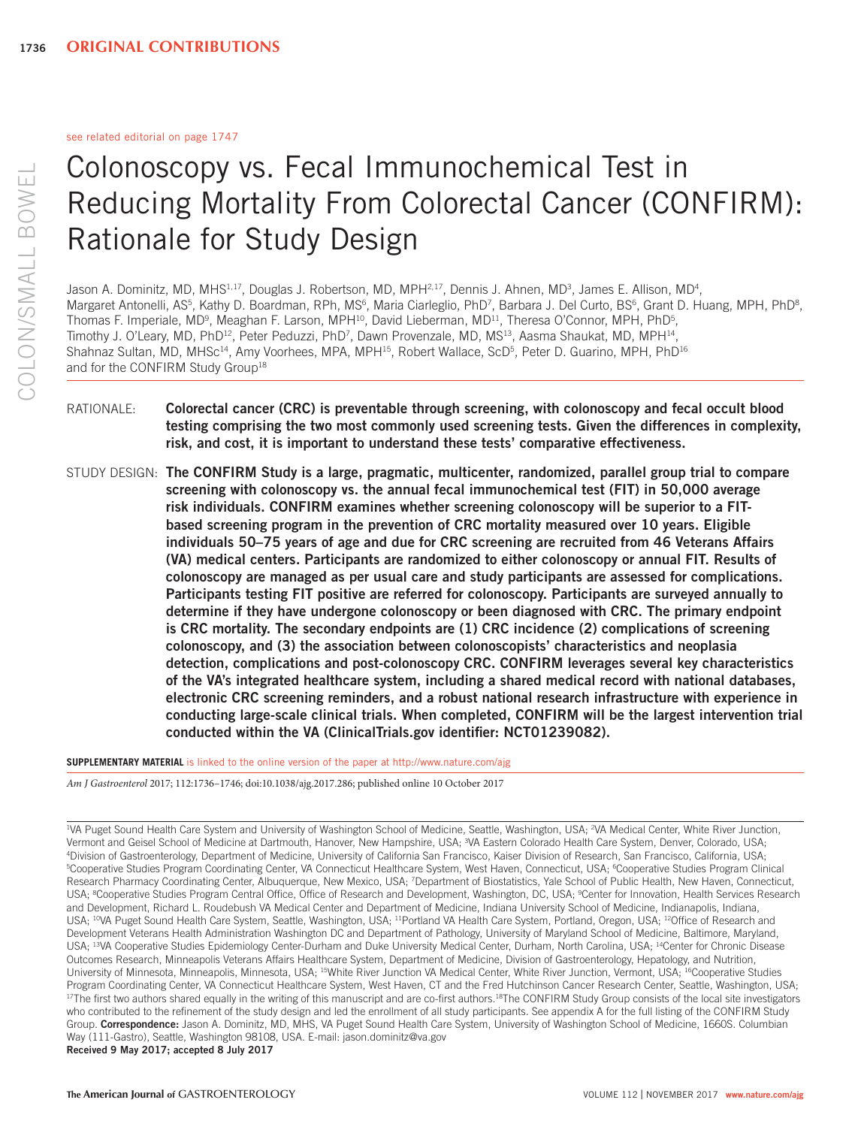see related editorial on page 1747

# Colonoscopy vs. Fecal Immunochemical Test in Reducing Mortality From Colorectal Cancer (CONFIRM): Rationale for Study Design

Jason A. Dominitz, MD, MHS<sup>1,17</sup>, Douglas J. Robertson, MD, MPH<sup>2,17</sup>, Dennis J. Ahnen, MD<sup>3</sup>, James E. Allison, MD<sup>4</sup>, Margaret Antonelli, AS5, Kathy D. Boardman, RPh, MS6, Maria Ciarleglio, PhD<sup>7</sup>, Barbara J. Del Curto, BS6, Grant D. Huang, MPH, PhD8, Thomas F. Imperiale, MD<sup>9</sup>, Meaghan F. Larson, MPH<sup>10</sup>, David Lieberman, MD<sup>11</sup>, Theresa O'Connor, MPH, PhD<sup>5</sup>, Timothy J. O'Leary, MD, PhD<sup>12</sup>, Peter Peduzzi, PhD<sup>7</sup>, Dawn Provenzale, MD, MS<sup>13</sup>, Aasma Shaukat, MD, MPH<sup>14</sup>, Shahnaz Sultan, MD, MHSc<sup>14</sup>, Amy Voorhees, MPA, MPH<sup>15</sup>, Robert Wallace, ScD<sup>5</sup>, Peter D. Guarino, MPH, PhD<sup>16</sup> and for the CONFIRM Study Group<sup>18</sup>

- RATIONALE: **Colorectal cancer (CRC) is preventable through screening, with colonoscopy and fecal occult blood testing comprising the two most commonly used screening tests. Given the differences in complexity, risk, and cost, it is important to understand these tests' comparative effectiveness.**
- STUDY DESIGN: **The CONFIRM Study is a large, pragmatic, multicenter, randomized, parallel group trial to compare screening with colonoscopy vs. the annual fecal immunochemical test (FIT) in 50,000 average risk individuals. CONFIRM examines whether screening colonoscopy will be superior to a FITbased screening program in the prevention of CRC mortality measured over 10 years. Eligible individuals 50–75 years of age and due for CRC screening are recruited from 46 Veterans Affairs (VA) medical centers. Participants are randomized to either colonoscopy or annual FIT. Results of colonoscopy are managed as per usual care and study participants are assessed for complications. Participants testing FIT positive are referred for colonoscopy. Participants are surveyed annually to determine if they have undergone colonoscopy or been diagnosed with CRC. The primary endpoint is CRC mortality. The secondary endpoints are (1) CRC incidence (2) complications of screening colonoscopy, and (3) the association between colonoscopists' characteristics and neoplasia detection, complications and post-colonoscopy CRC. CONFIRM leverages several key characteristics of the VA's integrated healthcare system, including a shared medical record with national databases, electronic CRC screening reminders, and a robust national research infrastructure with experience in conducting large-scale clinical trials. When completed, CONFIRM will be the largest intervention trial**  conducted within the VA (ClinicalTrials.gov identifier: NCT01239082).

**SUPPLEMENTARY MATERIAL** is linked to the online version of the paper at http://www.nature.com/ajg

*Am J Gastroenterol* 2017; 112:1736–1746; doi: 10.1038/ajg.2017.286; published online 10 October 2017

<sup>1</sup>VA Puget Sound Health Care System and University of Washington School of Medicine, Seattle, Washington, USA; <sup>2</sup>VA Medical Center, White River Junction, Vermont and Geisel School of Medicine at Dartmouth, Hanover, New Hampshire, USA; <sup>3</sup>VA Eastern Colorado Health Care System, Denver, Colorado, USA;<br><sup>4</sup>Division of Gastroenterology, Denartment of Medicine, University of Cali <sup>4</sup>Division of Gastroenterology, Department of Medicine, University of California San Francisco, Kaiser Division of Research, San Francisco, California, USA;<br><sup>5</sup>Cooperative Studies Program Coordinating Center, VA Connectic Research Pharmacy Coordinating Center, Albuquerque, New Mexico, USA; <sup>7</sup>Department of Biostatistics, Yale School of Public Health, New Haven, Connecticut, USA; <sup>a</sup>Cooperative Studies Program Central Office, Office of Research and Development, Washington, DC, USA; <sup>9</sup>Center for Innovation, Health Services Research and Development, Richard L. Roudebush VA Medical Center and Department of Medicine, Indiana University School of Medicine, Indianapolis, Indiana, USA; <sup>10</sup>VA Puget Sound Health Care System, Seattle, Washington, USA; <sup>11</sup>Portland VA Health Care System, Portland, Oregon, USA; <sup>12</sup>Office of Research and Development Veterans Health Administration Washington DC and Department of Pathology, University of Maryland School of Medicine, Baltimore, Maryland, USA; <sup>13</sup>VA Cooperative Studies Epidemiology Center-Durham and Duke University Medical Center, Durham, North Carolina, USA; <sup>14</sup>Center for Chronic Disease Outcomes Research, Minneapolis Veterans Affairs Healthcare System, Department of Medicine, Division of Gastroenterology, Hepatology, and Nutrition, University of Minnesota, Minneapolis, Minnesota, USA; <sup>15</sup>White River Junction VA Medical Center, White River Junction, Vermont, USA; <sup>16</sup>Cooperative Studies<br>Program Coordinating Center, VA Connecticut Healthcare System, W <sup>17</sup>The first two authors shared equally in the writing of this manuscript and are co-first authors.<sup>18</sup>The CONFIRM Study Group consists of the local site investigators who contributed to the refinement of the study design and led the enrollment of all study participants. See appendix A for the full listing of the CONFIRM Study Group. Correspondence: Jason A. Dominitz, MD, MHS, VA Puget Sound Health Care System, University of Washington School of Medicine, 1660S. Columbian Way (111-Gastro), Seattle, Washington 98108, USA. E-mail: jason.dominitz@va.gov **Received 9 May 2017 ; accepted 8 July 2017**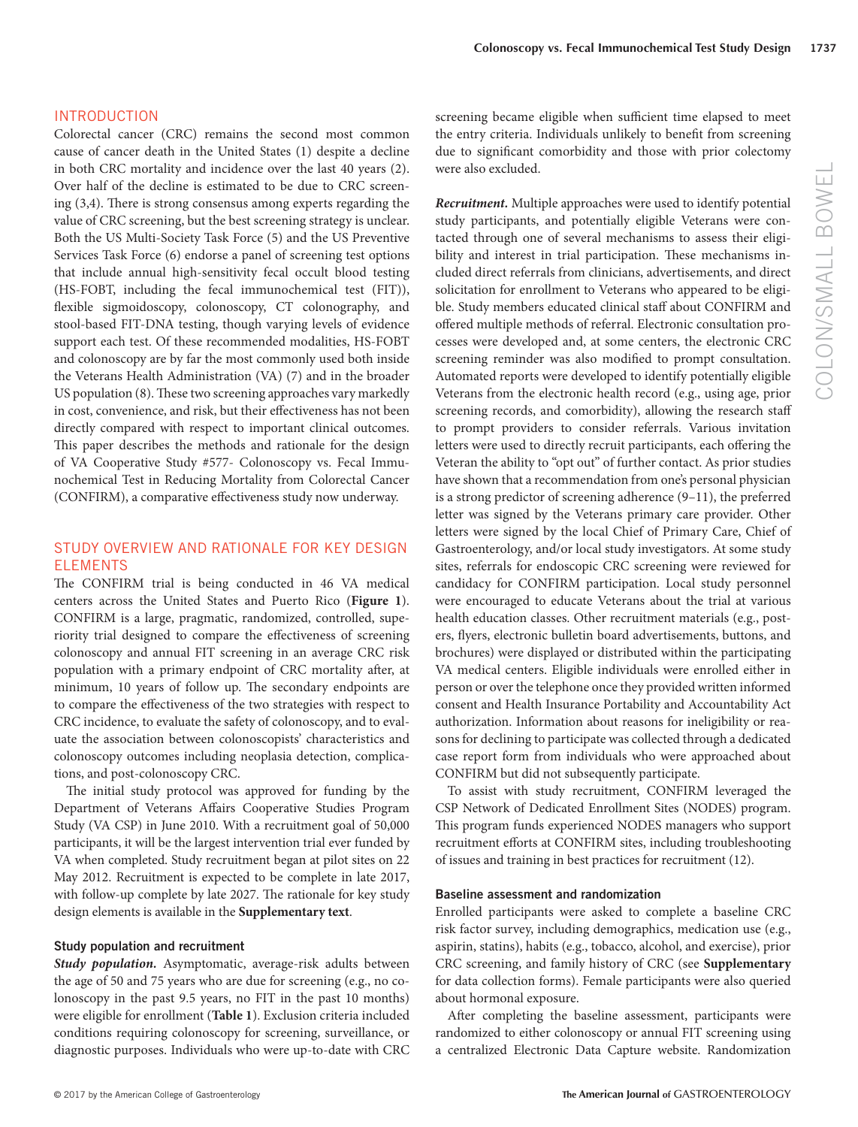#### INTRODUCTION

 Colorectal cancer (CRC) remains the second most common cause of cancer death in the United States (1) despite a decline in both CRC mortality and incidence over the last 40 years (2). Over half of the decline is estimated to be due to CRC screening  $(3,4)$ . There is strong consensus among experts regarding the value of CRC screening, but the best screening strategy is unclear. Both the US Multi-Society Task Force (5) and the US Preventive Services Task Force (6) endorse a panel of screening test options that include annual high-sensitivity fecal occult blood testing (HS-FOBT, including the fecal immunochemical test (FIT)), flexible sigmoidoscopy, colonoscopy, CT colonography, and stool-based FIT-DNA testing, though varying levels of evidence support each test. Of these recommended modalities, HS-FOBT and colonoscopy are by far the most commonly used both inside the Veterans Health Administration (VA) (7) and in the broader US population (8). These two screening approaches vary markedly in cost, convenience, and risk, but their effectiveness has not been directly compared with respect to important clinical outcomes. This paper describes the methods and rationale for the design of VA Cooperative Study #577- Colonoscopy vs. Fecal Immunochemical Test in Reducing Mortality from Colorectal Cancer (CONFIRM), a comparative effectiveness study now underway.

## STUDY OVERVIEW AND RATIONALE FOR KEY DESIGN ELEMENTS

The CONFIRM trial is being conducted in 46 VA medical centers across the United States and Puerto Rico ( **Figure 1** ). CONFIRM is a large, pragmatic, randomized, controlled, superiority trial designed to compare the effectiveness of screening colonoscopy and annual FIT screening in an average CRC risk population with a primary endpoint of CRC mortality after, at minimum, 10 years of follow up. The secondary endpoints are to compare the effectiveness of the two strategies with respect to CRC incidence, to evaluate the safety of colonoscopy, and to evaluate the association between colonoscopists' characteristics and colonoscopy outcomes including neoplasia detection, complications, and post-colonoscopy CRC.

The initial study protocol was approved for funding by the Department of Veterans Affairs Cooperative Studies Program Study (VA CSP) in June 2010. With a recruitment goal of 50,000 participants, it will be the largest intervention trial ever funded by VA when completed. Study recruitment began at pilot sites on 22 May 2012. Recruitment is expected to be complete in late 2017, with follow-up complete by late 2027. The rationale for key study design elements is available in the **Supplementary text** .

#### **Study population and recruitment**

**Study population.** Asymptomatic, average-risk adults between the age of 50 and 75 years who are due for screening (e.g., no colonoscopy in the past 9.5 years, no FIT in the past 10 months) were eligible for enrollment ( **Table 1** ). Exclusion criteria included conditions requiring colonoscopy for screening, surveillance, or diagnostic purposes. Individuals who were up-to-date with CRC screening became eligible when sufficient time elapsed to meet the entry criteria. Individuals unlikely to benefit from screening due to significant comorbidity and those with prior colectomy were also excluded.

**Recruitment.** Multiple approaches were used to identify potential study participants, and potentially eligible Veterans were contacted through one of several mechanisms to assess their eligibility and interest in trial participation. These mechanisms included direct referrals from clinicians, advertisements, and direct solicitation for enrollment to Veterans who appeared to be eligible. Study members educated clinical staff about CONFIRM and offered multiple methods of referral. Electronic consultation processes were developed and, at some centers, the electronic CRC screening reminder was also modified to prompt consultation. Automated reports were developed to identify potentially eligible Veterans from the electronic health record (e.g., using age, prior screening records, and comorbidity), allowing the research staff to prompt providers to consider referrals. Various invitation letters were used to directly recruit participants, each offering the Veteran the ability to "opt out" of further contact. As prior studies have shown that a recommendation from one's personal physician is a strong predictor of screening adherence  $(9-11)$ , the preferred letter was signed by the Veterans primary care provider. Other letters were signed by the local Chief of Primary Care, Chief of Gastroenterology, and/or local study investigators. At some study sites, referrals for endoscopic CRC screening were reviewed for candidacy for CONFIRM participation. Local study personnel were encouraged to educate Veterans about the trial at various health education classes. Other recruitment materials (e.g., posters, flyers, electronic bulletin board advertisements, buttons, and brochures) were displayed or distributed within the participating VA medical centers. Eligible individuals were enrolled either in person or over the telephone once they provided written informed consent and Health Insurance Portability and Accountability Act authorization. Information about reasons for ineligibility or reasons for declining to participate was collected through a dedicated case report form from individuals who were approached about CONFIRM but did not subsequently participate.

 To assist with study recruitment, CONFIRM leveraged the CSP Network of Dedicated Enrollment Sites (NODES) program. This program funds experienced NODES managers who support recruitment efforts at CONFIRM sites, including troubleshooting of issues and training in best practices for recruitment ( 12 ).

#### **Baseline assessment and randomization**

 Enrolled participants were asked to complete a baseline CRC risk factor survey, including demographics, medication use (e.g., aspirin, statins), habits (e.g., tobacco, alcohol, and exercise), prior CRC screening, and family history of CRC (see **Supplementary** for data collection forms). Female participants were also queried about hormonal exposure.

After completing the baseline assessment, participants were randomized to either colonoscopy or annual FIT screening using a centralized Electronic Data Capture website. Randomization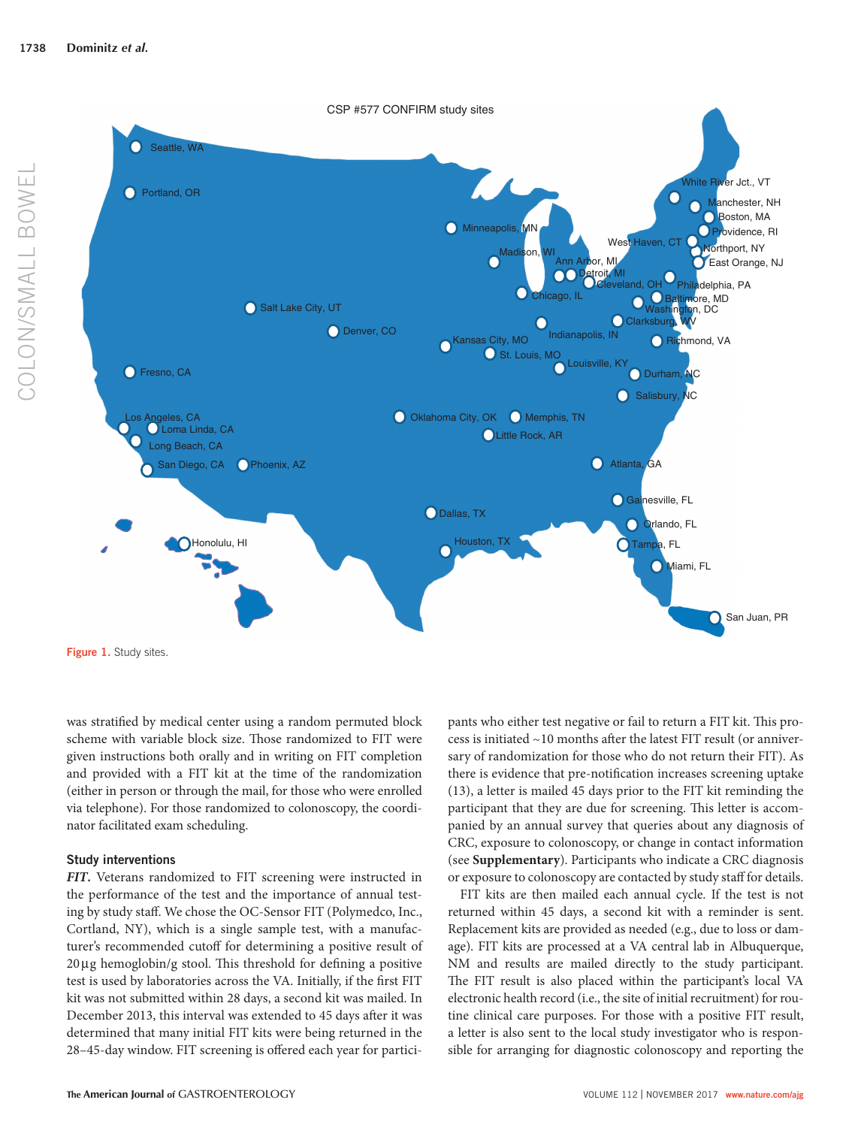

**Figure 1.** Study sites.

was stratified by medical center using a random permuted block scheme with variable block size. Those randomized to FIT were given instructions both orally and in writing on FIT completion and provided with a FIT kit at the time of the randomization (either in person or through the mail, for those who were enrolled via telephone). For those randomized to colonoscopy, the coordinator facilitated exam scheduling.

#### **Study interventions**

*FIT.* Veterans randomized to FIT screening were instructed in the performance of the test and the importance of annual testing by study staff. We chose the OC-Sensor FIT (Polymedco, Inc., Cortland, NY), which is a single sample test, with a manufacturer's recommended cutoff for determining a positive result of  $20 \mu$ g hemoglobin/g stool. This threshold for defining a positive test is used by laboratories across the VA. Initially, if the first FIT kit was not submitted within 28 days, a second kit was mailed. In December 2013, this interval was extended to 45 days after it was determined that many initial FIT kits were being returned in the 28-45-day window. FIT screening is offered each year for participants who either test negative or fail to return a FIT kit. This process is initiated  $\sim$ 10 months after the latest FIT result (or anniversary of randomization for those who do not return their FIT). As there is evidence that pre-notification increases screening uptake ( 13 ), a letter is mailed 45 days prior to the FIT kit reminding the participant that they are due for screening. This letter is accompanied by an annual survey that queries about any diagnosis of CRC, exposure to colonoscopy, or change in contact information (see **Supplementary** ). Participants who indicate a CRC diagnosis or exposure to colonoscopy are contacted by study staff for details.

 FIT kits are then mailed each annual cycle. If the test is not returned within 45 days, a second kit with a reminder is sent. Replacement kits are provided as needed (e.g., due to loss or damage). FIT kits are processed at a VA central lab in Albuquerque, NM and results are mailed directly to the study participant. The FIT result is also placed within the participant's local VA electronic health record (i.e., the site of initial recruitment) for routine clinical care purposes. For those with a positive FIT result, a letter is also sent to the local study investigator who is responsible for arranging for diagnostic colonoscopy and reporting the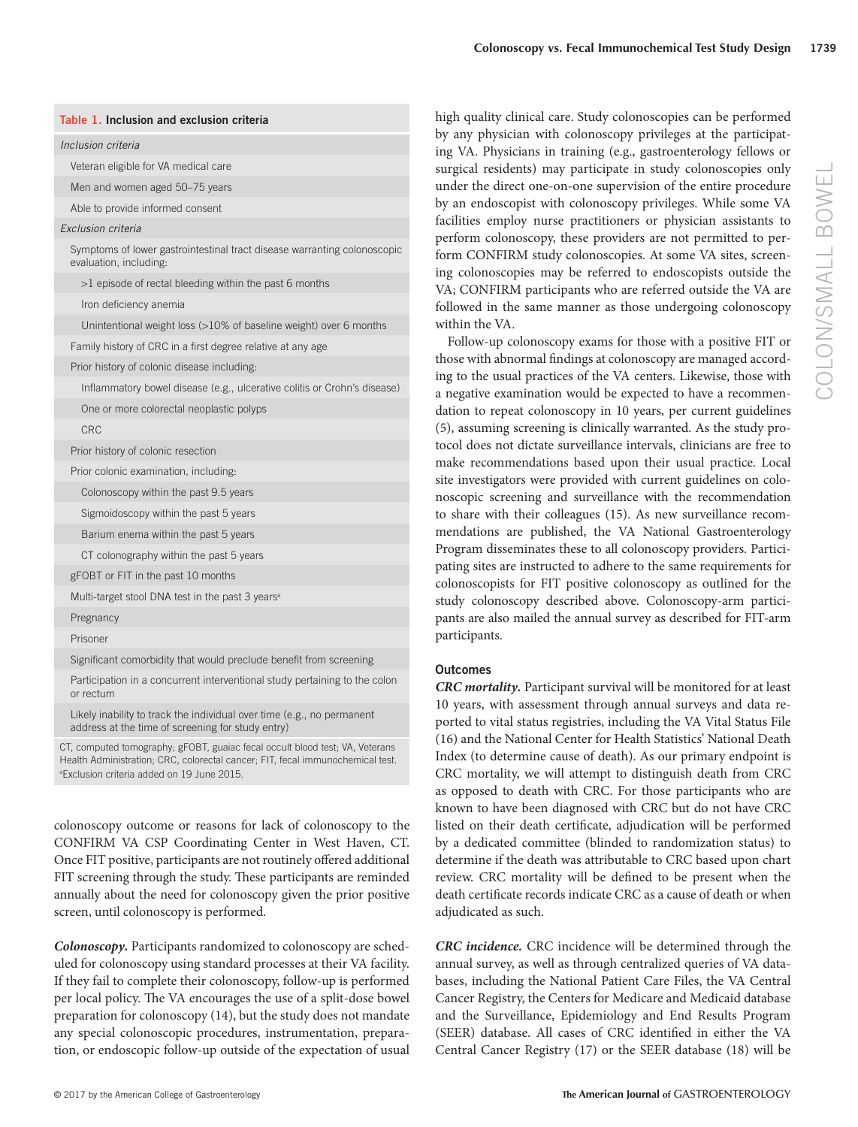| Table 1. Inclusion and exclusion criteria                                                          |
|----------------------------------------------------------------------------------------------------|
| Inclusion criteria                                                                                 |
| Veteran eligible for VA medical care                                                               |
| Men and women aged 50–75 years                                                                     |
| Able to provide informed consent                                                                   |
| Exclusion criteria                                                                                 |
| Symptoms of lower gastrointestinal tract disease warranting colonoscopic<br>evaluation, including: |
| >1 episode of rectal bleeding within the past 6 months                                             |
| Iron deficiency anemia                                                                             |
| Unintentional weight loss (>10% of baseline weight) over 6 months                                  |
| Family history of CRC in a first degree relative at any age                                        |
| Prior history of colonic disease including:                                                        |
| Inflammatory bowel disease (e.g., ulcerative colitis or Crohn's disease)                           |
| One or more colorectal neoplastic polyps                                                           |
| CRC                                                                                                |
| Prior history of colonic resection                                                                 |
| Prior colonic examination, including:                                                              |
| Colonoscopy within the past 9.5 years                                                              |
| Sigmoidoscopy within the past 5 years                                                              |
| Barium enema within the past 5 years                                                               |
| CT colonography within the past 5 years                                                            |
| gFOBT or FIT in the past 10 months                                                                 |
| Multi-target stool DNA test in the past 3 years <sup>a</sup>                                       |
| Pregnancy                                                                                          |
| Prisoner                                                                                           |
| Significant comorbidity that would preclude benefit from screening                                 |
| Participation in a concurrent interventional study pertaining to the colon<br>or rectum            |
| Likely inability to track the individual over time (e.g., no permanent                             |

 Likely inability to track the individual over time (e.g., no permanent address at the time of screening for study entry)

CT, computed tomography; gFOBT, guaiac fecal occult blood test; VA, Veterans Health Administration; CRC, colorectal cancer; FIT, fecal immunochemical test. a Exclusion criteria added on 19 June 2015.

colonoscopy outcome or reasons for lack of colonoscopy to the CONFIRM VA CSP Coordinating Center in West Haven, CT. Once FIT positive, participants are not routinely offered additional FIT screening through the study. These participants are reminded annually about the need for colonoscopy given the prior positive screen, until colonoscopy is performed.

**Colonoscopy.** Participants randomized to colonoscopy are scheduled for colonoscopy using standard processes at their VA facility. If they fail to complete their colonoscopy, follow-up is performed per local policy. The VA encourages the use of a split-dose bowel preparation for colonoscopy (14), but the study does not mandate any special colonoscopic procedures, instrumentation, preparation, or endoscopic follow-up outside of the expectation of usual high quality clinical care. Study colonoscopies can be performed by any physician with colonoscopy privileges at the participating VA. Physicians in training (e.g., gastroenterology fellows or surgical residents) may participate in study colonoscopies only under the direct one-on-one supervision of the entire procedure by an endoscopist with colonoscopy privileges. While some VA facilities employ nurse practitioners or physician assistants to perform colonoscopy, these providers are not permitted to perform CONFIRM study colonoscopies. At some VA sites, screening colonoscopies may be referred to endoscopists outside the VA; CONFIRM participants who are referred outside the VA are followed in the same manner as those undergoing colonoscopy within the VA.

 Follow-up colonoscopy exams for those with a positive FIT or those with abnormal findings at colonoscopy are managed according to the usual practices of the VA centers. Likewise, those with a negative examination would be expected to have a recommendation to repeat colonoscopy in 10 years, per current guidelines (5), assuming screening is clinically warranted. As the study protocol does not dictate surveillance intervals, clinicians are free to make recommendations based upon their usual practice. Local site investigators were provided with current guidelines on colonoscopic screening and surveillance with the recommendation to share with their colleagues (15). As new surveillance recommendations are published, the VA National Gastroenterology Program disseminates these to all colonoscopy providers. Participating sites are instructed to adhere to the same requirements for colonoscopists for FIT positive colonoscopy as outlined for the study colonoscopy described above. Colonoscopy-arm participants are also mailed the annual survey as described for FIT-arm participants.

#### **Outcomes**

*CRC mortality .* Participant survival will be monitored for at least 10 years, with assessment through annual surveys and data reported to vital status registries, including the VA Vital Status File ( 16 ) and the National Center for Health Statistics' National Death Index (to determine cause of death). As our primary endpoint is CRC mortality, we will attempt to distinguish death from CRC as opposed to death with CRC. For those participants who are known to have been diagnosed with CRC but do not have CRC listed on their death certificate, adjudication will be performed by a dedicated committee (blinded to randomization status) to determine if the death was attributable to CRC based upon chart review. CRC mortality will be defined to be present when the death certificate records indicate CRC as a cause of death or when adjudicated as such.

*CRC incidence .* CRC incidence will be determined through the annual survey, as well as through centralized queries of VA databases, including the National Patient Care Files, the VA Central Cancer Registry, the Centers for Medicare and Medicaid database and the Surveillance, Epidemiology and End Results Program (SEER) database. All cases of CRC identified in either the VA Central Cancer Registry (17) or the SEER database (18) will be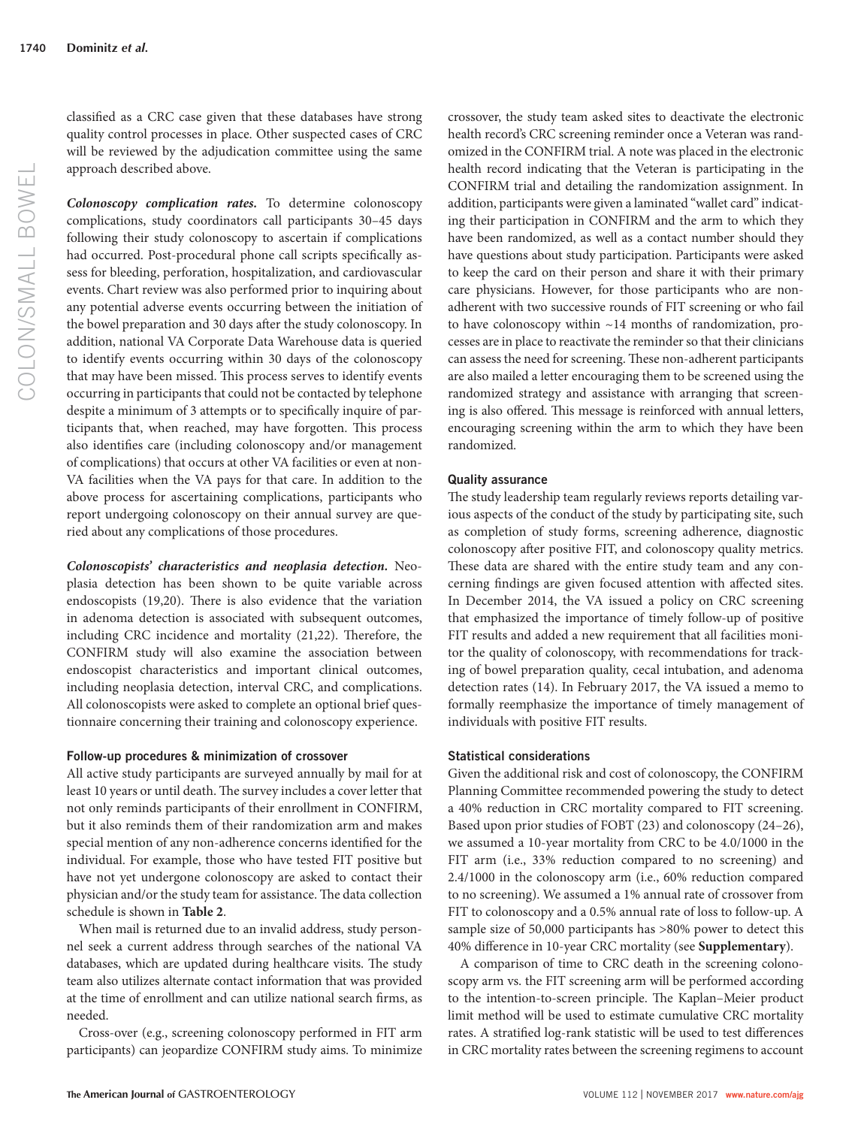*Colonoscopy complication rates .* To determine colonoscopy complications, study coordinators call participants 30–45 days following their study colonoscopy to ascertain if complications had occurred. Post-procedural phone call scripts specifically assess for bleeding, perforation, hospitalization, and cardiovascular events. Chart review was also performed prior to inquiring about any potential adverse events occurring between the initiation of the bowel preparation and 30 days after the study colonoscopy. In addition, national VA Corporate Data Warehouse data is queried to identify events occurring within 30 days of the colonoscopy that may have been missed. This process serves to identify events occurring in participants that could not be contacted by telephone despite a minimum of 3 attempts or to specifically inquire of participants that, when reached, may have forgotten. This process also identifies care (including colonoscopy and/or management of complications) that occurs at other VA facilities or even at non-VA facilities when the VA pays for that care. In addition to the above process for ascertaining complications, participants who report undergoing colonoscopy on their annual survey are queried about any complications of those procedures.

*Colonoscopists' characteristics and neoplasia detection .* Neoplasia detection has been shown to be quite variable across endoscopists (19,20). There is also evidence that the variation in adenoma detection is associated with subsequent outcomes, including CRC incidence and mortality  $(21,22)$ . Therefore, the CONFIRM study will also examine the association between endoscopist characteristics and important clinical outcomes, including neoplasia detection, interval CRC, and complications. All colonoscopists were asked to complete an optional brief questionnaire concerning their training and colonoscopy experience.

#### **Follow-up procedures & minimization of crossover**

 All active study participants are surveyed annually by mail for at least 10 years or until death. The survey includes a cover letter that not only reminds participants of their enrollment in CONFIRM, but it also reminds them of their randomization arm and makes special mention of any non-adherence concerns identified for the individual. For example, those who have tested FIT positive but have not yet undergone colonoscopy are asked to contact their physician and/or the study team for assistance. The data collection schedule is shown in **Table 2** .

 When mail is returned due to an invalid address, study personnel seek a current address through searches of the national VA databases, which are updated during healthcare visits. The study team also utilizes alternate contact information that was provided at the time of enrollment and can utilize national search firms, as needed.

 Cross-over (e.g., screening colonoscopy performed in FIT arm participants) can jeopardize CONFIRM study aims. To minimize

crossover, the study team asked sites to deactivate the electronic health record's CRC screening reminder once a Veteran was randomized in the CONFIRM trial. A note was placed in the electronic health record indicating that the Veteran is participating in the CONFIRM trial and detailing the randomization assignment. In addition, participants were given a laminated "wallet card" indicating their participation in CONFIRM and the arm to which they have been randomized, as well as a contact number should they have questions about study participation. Participants were asked to keep the card on their person and share it with their primary care physicians. However, for those participants who are nonadherent with two successive rounds of FIT screening or who fail to have colonoscopy within ~14 months of randomization, processes are in place to reactivate the reminder so that their clinicians can assess the need for screening. These non-adherent participants are also mailed a letter encouraging them to be screened using the randomized strategy and assistance with arranging that screening is also offered. This message is reinforced with annual letters, encouraging screening within the arm to which they have been randomized.

#### **Quality assurance**

The study leadership team regularly reviews reports detailing various aspects of the conduct of the study by participating site, such as completion of study forms, screening adherence, diagnostic colonoscopy after positive FIT, and colonoscopy quality metrics. These data are shared with the entire study team and any concerning findings are given focused attention with affected sites. In December 2014, the VA issued a policy on CRC screening that emphasized the importance of timely follow-up of positive FIT results and added a new requirement that all facilities monitor the quality of colonoscopy, with recommendations for tracking of bowel preparation quality, cecal intubation, and adenoma detection rates (14). In February 2017, the VA issued a memo to formally reemphasize the importance of timely management of individuals with positive FIT results.

#### **Statistical considerations**

 Given the additional risk and cost of colonoscopy, the CONFIRM Planning Committee recommended powering the study to detect a 40% reduction in CRC mortality compared to FIT screening. Based upon prior studies of FOBT (23) and colonoscopy (24–26), we assumed a 10-year mortality from CRC to be 4.0/1000 in the FIT arm (i.e., 33% reduction compared to no screening) and 2.4/1000 in the colonoscopy arm (i.e., 60% reduction compared to no screening). We assumed a 1% annual rate of crossover from FIT to colonoscopy and a 0.5% annual rate of loss to follow-up. A sample size of 50,000 participants has >80% power to detect this 40% difference in 10-year CRC mortality (see **Supplementary**).

 A comparison of time to CRC death in the screening colonoscopy arm vs. the FIT screening arm will be performed according to the intention-to-screen principle. The Kaplan–Meier product limit method will be used to estimate cumulative CRC mortality rates. A stratified log-rank statistic will be used to test differences in CRC mortality rates between the screening regimens to account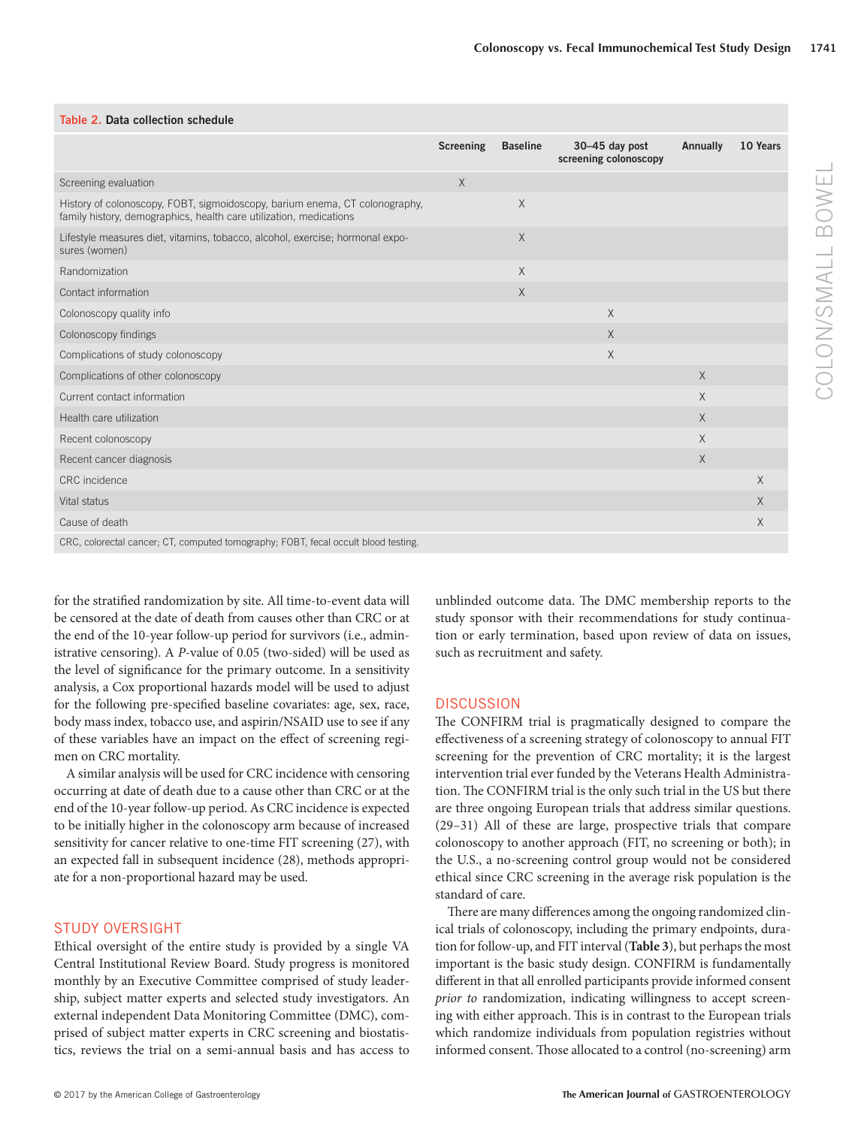|                                                                                                                                                   | <b>Screening</b> | <b>Baseline</b> | 30-45 day post<br>screening colonoscopy | Annually | 10 Years |
|---------------------------------------------------------------------------------------------------------------------------------------------------|------------------|-----------------|-----------------------------------------|----------|----------|
| Screening evaluation                                                                                                                              | X                |                 |                                         |          |          |
| History of colonoscopy, FOBT, sigmoidoscopy, barium enema, CT colonography,<br>family history, demographics, health care utilization, medications |                  | $\times$        |                                         |          |          |
| Lifestyle measures diet, vitamins, tobacco, alcohol, exercise; hormonal expo-<br>sures (women)                                                    |                  | $\times$        |                                         |          |          |
| Randomization                                                                                                                                     |                  | $\times$        |                                         |          |          |
| Contact information                                                                                                                               |                  | $\times$        |                                         |          |          |
| Colonoscopy quality info                                                                                                                          |                  |                 | $\times$                                |          |          |
| Colonoscopy findings                                                                                                                              |                  |                 | $\times$                                |          |          |
| Complications of study colonoscopy                                                                                                                |                  |                 | $\times$                                |          |          |
| Complications of other colonoscopy                                                                                                                |                  |                 |                                         | $\times$ |          |
| Current contact information                                                                                                                       |                  |                 |                                         | $\times$ |          |
| Health care utilization                                                                                                                           |                  |                 |                                         | $\times$ |          |
| Recent colonoscopy                                                                                                                                |                  |                 |                                         | X        |          |
| Recent cancer diagnosis                                                                                                                           |                  |                 |                                         | $\times$ |          |
| <b>CRC</b> incidence                                                                                                                              |                  |                 |                                         |          | X        |
| Vital status                                                                                                                                      |                  |                 |                                         |          | X        |
| Cause of death                                                                                                                                    |                  |                 |                                         |          | $\times$ |
| CRC, colorectal cancer; CT, computed tomography; FOBT, fecal occult blood testing.                                                                |                  |                 |                                         |          |          |

#### **Table 2 . Data collection schedule**

for the stratified randomization by site. All time-to-event data will be censored at the date of death from causes other than CRC or at the end of the 10-year follow-up period for survivors (i.e., administrative censoring). A *P*-value of 0.05 (two-sided) will be used as the level of significance for the primary outcome. In a sensitivity analysis, a Cox proportional hazards model will be used to adjust for the following pre-specified baseline covariates: age, sex, race, body mass index, tobacco use, and aspirin/NSAID use to see if any of these variables have an impact on the effect of screening regimen on CRC mortality.

 A similar analysis will be used for CRC incidence with censoring occurring at date of death due to a cause other than CRC or at the end of the 10-year follow-up period. As CRC incidence is expected to be initially higher in the colonoscopy arm because of increased sensitivity for cancer relative to one-time FIT screening (27), with an expected fall in subsequent incidence (28), methods appropriate for a non-proportional hazard may be used.

### STUDY OVERSIGHT

 Ethical oversight of the entire study is provided by a single VA Central Institutional Review Board. Study progress is monitored monthly by an Executive Committee comprised of study leadership, subject matter experts and selected study investigators. An external independent Data Monitoring Committee (DMC), comprised of subject matter experts in CRC screening and biostatistics, reviews the trial on a semi-annual basis and has access to unblinded outcome data. The DMC membership reports to the study sponsor with their recommendations for study continuation or early termination, based upon review of data on issues, such as recruitment and safety.

### **DISCUSSION**

The CONFIRM trial is pragmatically designed to compare the effectiveness of a screening strategy of colonoscopy to annual FIT screening for the prevention of CRC mortality; it is the largest intervention trial ever funded by the Veterans Health Administration. The CONFIRM trial is the only such trial in the US but there are three ongoing European trials that address similar questions. ( 29–31 ) All of these are large, prospective trials that compare colonoscopy to another approach (FIT, no screening or both); in the U.S., a no-screening control group would not be considered ethical since CRC screening in the average risk population is the standard of care.

There are many differences among the ongoing randomized clinical trials of colonoscopy, including the primary endpoints, duration for follow-up, and FIT interval ( **Table 3** ), but perhaps the most important is the basic study design. CONFIRM is fundamentally different in that all enrolled participants provide informed consent *prior to* randomization, indicating willingness to accept screening with either approach. This is in contrast to the European trials which randomize individuals from population registries without informed consent. Those allocated to a control (no-screening) arm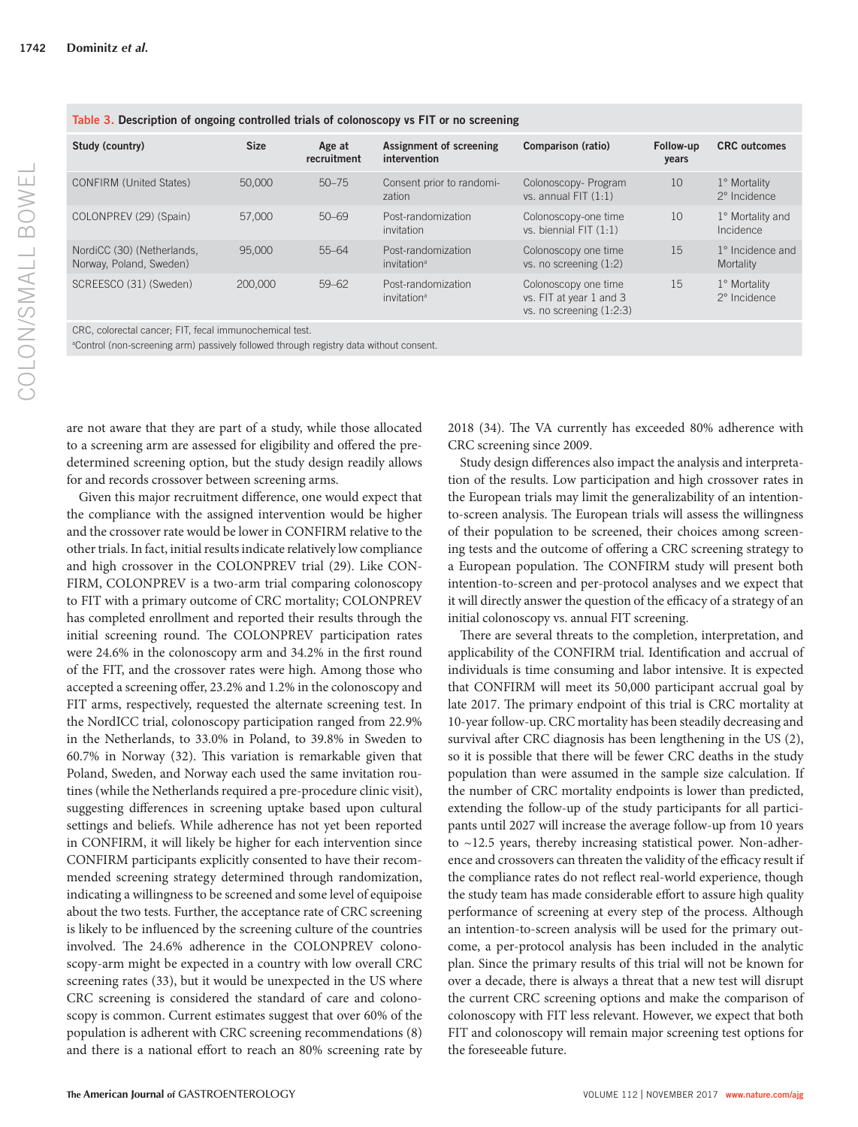| Table 3. Description of ongoing controlled trials of colonoscopy vs FIT or no screening |  |
|-----------------------------------------------------------------------------------------|--|
|-----------------------------------------------------------------------------------------|--|

| Study (country)                                       | <b>Size</b> | Age at<br>recruitment | Assignment of screening<br>intervention       | Comparison (ratio)                                                            | Follow-up<br>years | <b>CRC</b> outcomes           |
|-------------------------------------------------------|-------------|-----------------------|-----------------------------------------------|-------------------------------------------------------------------------------|--------------------|-------------------------------|
| <b>CONFIRM (United States)</b>                        | 50,000      | $50 - 75$             | Consent prior to randomi-<br>zation           | Colonoscopy- Program<br>vs. annual $FIT(1:1)$                                 | 10                 | 1° Mortality<br>2° Incidence  |
| COLONPREV (29) (Spain)                                | 57,000      | $50 - 69$             | Post-randomization<br>invitation              | Colonoscopy-one time<br>vs. biennial $FIT(1:1)$                               | 10                 | 1° Mortality and<br>Incidence |
| NordiCC (30) (Netherlands,<br>Norway, Poland, Sweden) | 95,000      | $55 - 64$             | Post-randomization<br>invitation <sup>a</sup> | Colonoscopy one time<br>vs. no screening $(1:2)$                              | 15                 | 1° Incidence and<br>Mortality |
| SCREESCO (31) (Sweden)                                | 200,000     | $59 - 62$             | Post-randomization<br>invitation <sup>a</sup> | Colonoscopy one time<br>vs. FIT at year 1 and 3<br>vs. no screening $(1:2:3)$ | 15                 | 1° Mortality<br>2° Incidence  |

CRC, colorectal cancer; FIT, fecal immunochemical test.

a Control (non-screening arm) passively followed through registry data without consent.

are not aware that they are part of a study, while those allocated to a screening arm are assessed for eligibility and offered the predetermined screening option, but the study design readily allows for and records crossover between screening arms.

Given this major recruitment difference, one would expect that the compliance with the assigned intervention would be higher and the crossover rate would be lower in CONFIRM relative to the other trials. In fact, initial results indicate relatively low compliance and high crossover in the COLONPREV trial (29). Like CON-FIRM, COLONPREV is a two-arm trial comparing colonoscopy to FIT with a primary outcome of CRC mortality; COLONPREV has completed enrollment and reported their results through the initial screening round. The COLONPREV participation rates were 24.6% in the colonoscopy arm and 34.2% in the first round of the FIT, and the crossover rates were high. Among those who accepted a screening offer, 23.2% and 1.2% in the colonoscopy and FIT arms, respectively, requested the alternate screening test. In the NordICC trial, colonoscopy participation ranged from 22.9% in the Netherlands, to 33.0% in Poland, to 39.8% in Sweden to 60.7% in Norway  $(32)$ . This variation is remarkable given that Poland, Sweden, and Norway each used the same invitation routines (while the Netherlands required a pre-procedure clinic visit), suggesting differences in screening uptake based upon cultural settings and beliefs. While adherence has not yet been reported in CONFIRM, it will likely be higher for each intervention since CONFIRM participants explicitly consented to have their recommended screening strategy determined through randomization, indicating a willingness to be screened and some level of equipoise about the two tests. Further, the acceptance rate of CRC screening is likely to be influenced by the screening culture of the countries involved. The 24.6% adherence in the COLONPREV colonoscopy-arm might be expected in a country with low overall CRC screening rates (33), but it would be unexpected in the US where CRC screening is considered the standard of care and colonoscopy is common. Current estimates suggest that over 60% of the population is adherent with CRC screening recommendations (8) and there is a national effort to reach an 80% screening rate by

2018 (34). The VA currently has exceeded 80% adherence with CRC screening since 2009.

Study design differences also impact the analysis and interpretation of the results. Low participation and high crossover rates in the European trials may limit the generalizability of an intentionto-screen analysis. The European trials will assess the willingness of their population to be screened, their choices among screening tests and the outcome of offering a CRC screening strategy to a European population. The CONFIRM study will present both intention-to-screen and per-protocol analyses and we expect that it will directly answer the question of the efficacy of a strategy of an initial colonoscopy vs. annual FIT screening.

There are several threats to the completion, interpretation, and applicability of the CONFIRM trial. Identification and accrual of individuals is time consuming and labor intensive. It is expected that CONFIRM will meet its 50,000 participant accrual goal by late 2017. The primary endpoint of this trial is CRC mortality at 10-year follow-up. CRC mortality has been steadily decreasing and survival after CRC diagnosis has been lengthening in the US (2), so it is possible that there will be fewer CRC deaths in the study population than were assumed in the sample size calculation. If the number of CRC mortality endpoints is lower than predicted, extending the follow-up of the study participants for all participants until 2027 will increase the average follow-up from 10 years to ~12.5 years, thereby increasing statistical power. Non-adherence and crossovers can threaten the validity of the efficacy result if the compliance rates do not reflect real-world experience, though the study team has made considerable effort to assure high quality performance of screening at every step of the process. Although an intention-to-screen analysis will be used for the primary outcome, a per-protocol analysis has been included in the analytic plan. Since the primary results of this trial will not be known for over a decade, there is always a threat that a new test will disrupt the current CRC screening options and make the comparison of colonoscopy with FIT less relevant. However, we expect that both FIT and colonoscopy will remain major screening test options for the foreseeable future.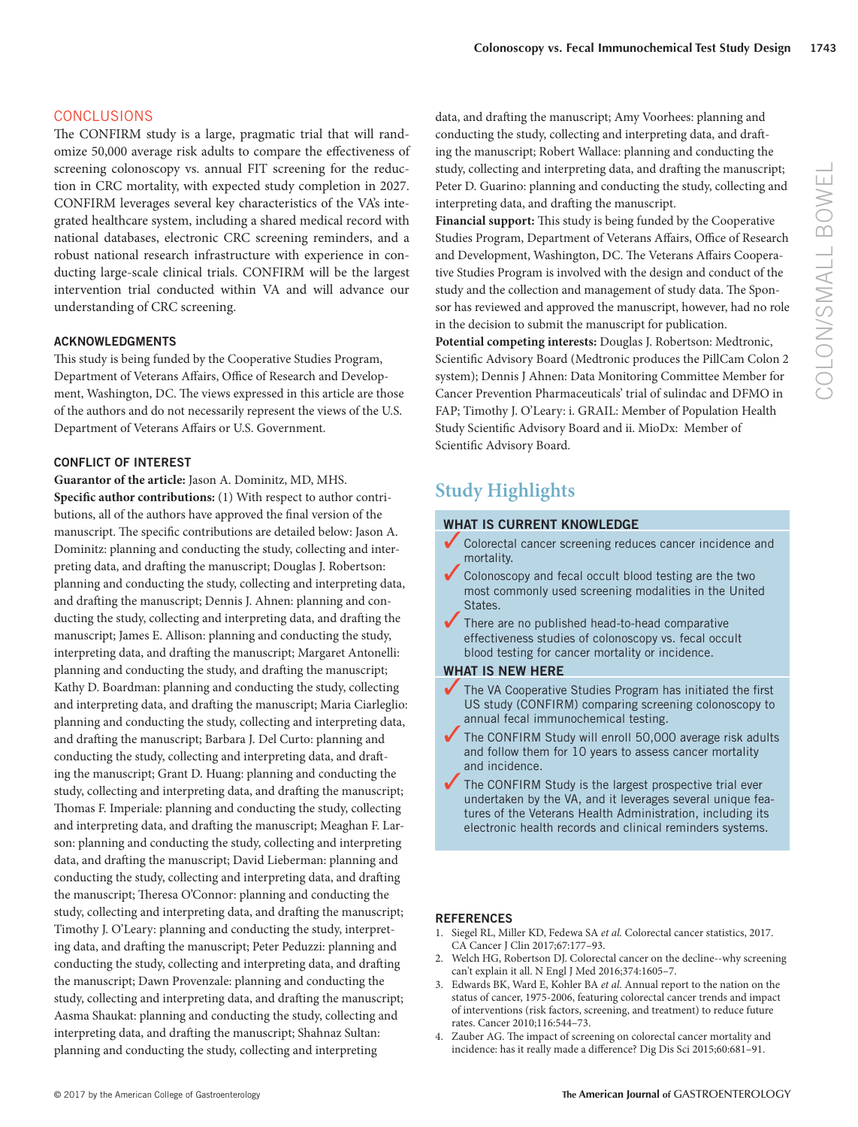# **CONCLUSIONS**

The CONFIRM study is a large, pragmatic trial that will randomize 50,000 average risk adults to compare the effectiveness of screening colonoscopy vs. annual FIT screening for the reduction in CRC mortality, with expected study completion in 2027. CONFIRM leverages several key characteristics of the VA's integrated healthcare system, including a shared medical record with national databases, electronic CRC screening reminders, and a robust national research infrastructure with experience in conducting large-scale clinical trials. CONFIRM will be the largest intervention trial conducted within VA and will advance our understanding of CRC screening.

# **ACKNOWLEDGMENTS**

This study is being funded by the Cooperative Studies Program, Department of Veterans Affairs, Office of Research and Development, Washington, DC. The views expressed in this article are those of the authors and do not necessarily represent the views of the U.S. Department of Veterans Affairs or U.S. Government.

# **CONFLICT OF INTEREST**

**Guarantor of the article:** Jason A. Dominitz, MD, MHS. **Specific author contributions:** (1) With respect to author contributions, all of the authors have approved the final version of the manuscript. The specific contributions are detailed below: Jason A. Dominitz: planning and conducting the study, collecting and interpreting data, and drafting the manuscript; Douglas J. Robertson: planning and conducting the study, collecting and interpreting data, and drafting the manuscript; Dennis J. Ahnen: planning and conducting the study, collecting and interpreting data, and drafting the manuscript; James E. Allison: planning and conducting the study, interpreting data, and drafting the manuscript; Margaret Antonelli: planning and conducting the study, and drafting the manuscript; Kathy D. Boardman: planning and conducting the study, collecting and interpreting data, and drafting the manuscript; Maria Ciarleglio: planning and conducting the study, collecting and interpreting data, and drafting the manuscript; Barbara J. Del Curto: planning and conducting the study, collecting and interpreting data, and draft ing the manuscript; Grant D. Huang: planning and conducting the study, collecting and interpreting data, and drafting the manuscript; Thomas F. Imperiale: planning and conducting the study, collecting and interpreting data, and drafting the manuscript; Meaghan F. Larson: planning and conducting the study, collecting and interpreting data, and drafting the manuscript; David Lieberman: planning and conducting the study, collecting and interpreting data, and drafting the manuscript; Theresa O'Connor: planning and conducting the study, collecting and interpreting data, and drafting the manuscript; Timothy J. O'Leary: planning and conducting the study, interpreting data, and drafting the manuscript; Peter Peduzzi: planning and conducting the study, collecting and interpreting data, and drafting the manuscript; Dawn Provenzale: planning and conducting the study, collecting and interpreting data, and drafting the manuscript; Aasma Shaukat: planning and conducting the study, collecting and interpreting data, and drafting the manuscript; Shahnaz Sultan: planning and conducting the study, collecting and interpreting

data, and drafting the manuscript; Amy Voorhees: planning and conducting the study, collecting and interpreting data, and draft ing the manuscript; Robert Wallace: planning and conducting the study, collecting and interpreting data, and drafting the manuscript; Peter D. Guarino: planning and conducting the study, collecting and interpreting data, and drafting the manuscript.

Financial support: This study is being funded by the Cooperative Studies Program, Department of Veterans Affairs, Office of Research and Development, Washington, DC. The Veterans Affairs Cooperative Studies Program is involved with the design and conduct of the study and the collection and management of study data. The Sponsor has reviewed and approved the manuscript, however, had no role in the decision to submit the manuscript for publication.

**Potential competing interests:** Douglas J. Robertson: Medtronic, Scientific Advisory Board (Medtronic produces the PillCam Colon 2 system); Dennis J Ahnen: Data Monitoring Committee Member for Cancer Prevention Pharmaceuticals' trial of sulindac and DFMO in FAP; Timothy J. O'Leary: i. GRAIL: Member of Population Health Study Scientific Advisory Board and ii. MioDx: Member of Scientific Advisory Board.

# **Study Highlights**

# **WHAT IS CURRENT KNOWLEDGE**

- Colorectal cancer screening reduces cancer incidence and mortality.
- Colonoscopy and fecal occult blood testing are the two most commonly used screening modalities in the United States.
- There are no published head-to-head comparative effectiveness studies of colonoscopy vs. fecal occult blood testing for cancer mortality or incidence.

# **WHAT IS NEW HERE**

- The VA Cooperative Studies Program has initiated the first US study (CONFIRM) comparing screening colonoscopy to annual fecal immunochemical testing.
- The CONFIRM Study will enroll 50,000 average risk adults and follow them for 10 years to assess cancer mortality and incidence.
- $\blacktriangledown$  The CONFIRM Study is the largest prospective trial ever undertaken by the VA, and it leverages several unique features of the Veterans Health Administration, including its electronic health records and clinical reminders systems.

# **REFERENCES**

- 1. Siegel RL, Miller KD, Fedewa SA et al. Colorectal cancer statistics, 2017. CA Cancer J Clin 2017;67:177-93.
- 2. Welch HG, Robertson DJ. Colorectal cancer on the decline--why screening can't explain it all. N Engl J Med 2016;374:1605-7.
- 3. Edwards BK , Ward E , Kohler BA *et al.* Annual report to the nation on the status of cancer, 1975-2006, featuring colorectal cancer trends and impact of interventions (risk factors, screening, and treatment) to reduce future rates. Cancer 2010;116:544-73.
- 4. Zauber AG. The impact of screening on colorectal cancer mortality and incidence: has it really made a difference? Dig Dis Sci 2015;60:681-91.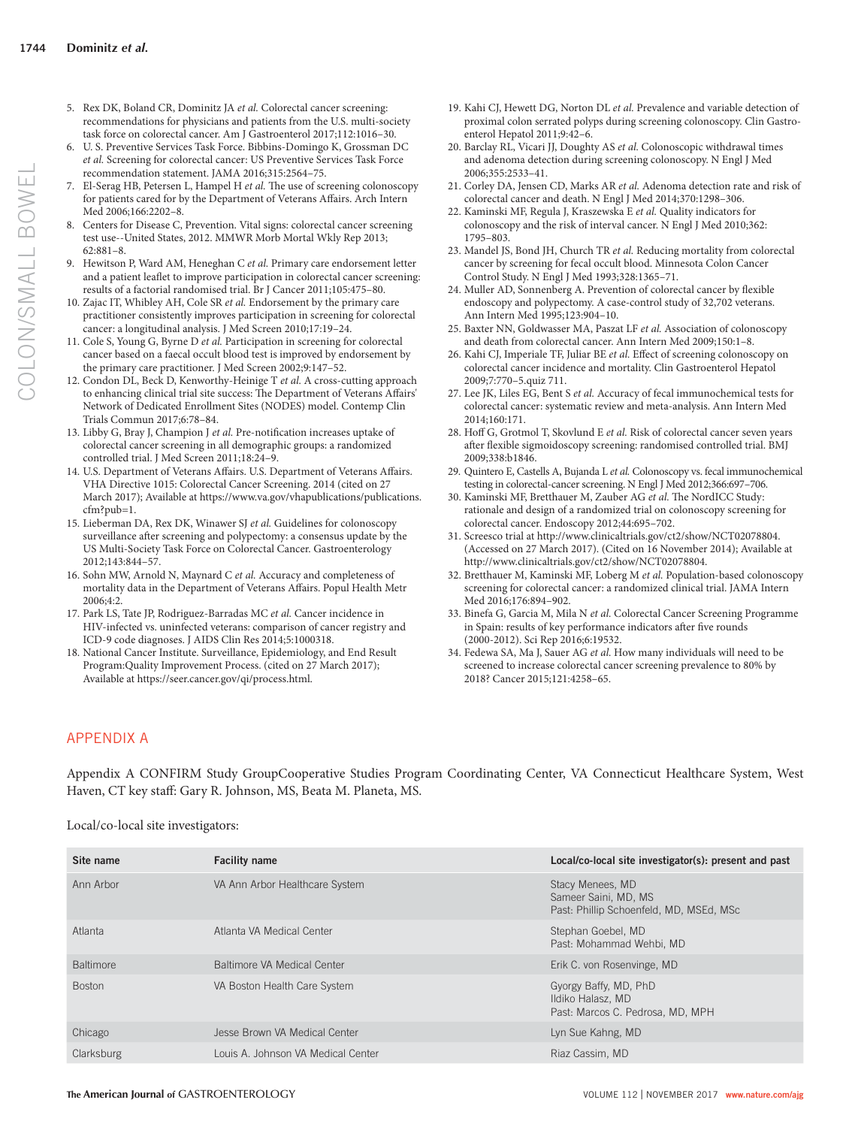- 5. Rex DK, Boland CR, Dominitz JA et al. Colorectal cancer screening: recommendations for physicians and patients from the U.S. multi-society task force on colorectal cancer. Am J Gastroenterol 2017;112:1016-30.
- 6. U. S. Preventive Services Task Force. Bibbins-Domingo K, Grossman DC *et al.* Screening for colorectal cancer: US Preventive Services Task Force recommendation statement. JAMA 2016;315:2564-75.
- 7. El-Serag HB, Petersen L, Hampel H et al. The use of screening colonoscopy for patients cared for by the Department of Veterans Affairs. Arch Intern Med 2006;166:2202-8.
- Centers for Disease C, Prevention. Vital signs: colorectal cancer screening test use--United States, 2012. MMWR Morb Mortal Wkly Rep 2013; 62:881-8
- Hewitson P, Ward AM, Heneghan C et al. Primary care endorsement letter and a patient leaflet to improve participation in colorectal cancer screening: results of a factorial randomised trial. Br J Cancer 2011;105:475-80.
- 10. Zajac IT, Whibley AH, Cole SR et al. Endorsement by the primary care practitioner consistently improves participation in screening for colorectal cancer: a longitudinal analysis. J Med Screen 2010;17:19-24.
- 11. Cole S, Young G, Byrne D *et al.* Participation in screening for colorectal cancer based on a faecal occult blood test is improved by endorsement by the primary care practitioner. J Med Screen 2002;9:147-52.
- 12. Condon DL, Beck D, Kenworthy-Heinige T et al. A cross-cutting approach to enhancing clinical trial site success: The Department of Veterans Affairs' Network of Dedicated Enrollment Sites (NODES) model . Contemp Clin Trials Commun 2017;6:78-84.
- 13. Libby G, Bray J, Champion J et al. Pre-notification increases uptake of colorectal cancer screening in all demographic groups: a randomized controlled trial. J Med Screen 2011;18:24-9.
- 14. U.S. Department of Veterans Affairs. U.S. Department of Veterans Affairs. VHA Directive 1015: Colorectal Cancer Screening. 2014 (cited on 27 March 2017); Available at https://www.va.gov/vhapublications/publications. cfm?pub=1.
- 15. Lieberman DA, Rex DK, Winawer SJ et al. Guidelines for colonoscopy surveillance after screening and polypectomy: a consensus update by the US Multi-Society Task Force on Colorectal Cancer . Gastroenterology 2012:143:844-57
- 16. Sohn MW, Arnold N, Maynard C et al. Accuracy and completeness of mortality data in the Department of Veterans Affairs. Popul Health Metr 2006:4:2.
- 17. Park LS, Tate JP, Rodriguez-Barradas MC et al. Cancer incidence in HIV-infected vs. uninfected veterans: comparison of cancer registry and ICD-9 code diagnoses. J AIDS Clin Res 2014;5:1000318.
- 18. National Cancer Institute. Surveillance, Epidemiology, and End Result Program:Quality Improvement Process. (cited on 27 March 2017); Available at https://seer.cancer.gov/qi/process.html.
- 19. Kahi CJ, Hewett DG, Norton DL et al. Prevalence and variable detection of proximal colon serrated polyps during screening colonoscopy . Clin Gastroenterol Hepatol 2011;9:42-6.
- 20. Barclay RL, Vicari JJ, Doughty AS et al. Colonoscopic withdrawal times and adenoma detection during screening colonoscopy . N Engl J Med 2006 ; 355 : 2533 – 41 .
- 21. Corley DA, Jensen CD, Marks AR et al. Adenoma detection rate and risk of colorectal cancer and death. N Engl J Med 2014;370:1298-306.
- 22. Kaminski MF, Regula J, Kraszewska E et al. Quality indicators for colonoscopy and the risk of interval cancer. N Engl J Med 2010;362: 1795-803.
- 23. Mandel JS, Bond JH, Church TR et al. Reducing mortality from colorectal cancer by screening for fecal occult blood. Minnesota Colon Cancer Control Study. N Engl J Med 1993;328:1365-71.
- 24. Muller AD, Sonnenberg A. Prevention of colorectal cancer by flexible endoscopy and polypectomy. A case-control study of 32,702 veterans . Ann Intern Med 1995;123:904-10.
- 25. Baxter NN , Goldwasser MA , Paszat LF *et al.* Association of colonoscopy and death from colorectal cancer. Ann Intern Med 2009;150:1-8.
- 26. Kahi CJ, Imperiale TF, Juliar BE et al. Effect of screening colonoscopy on colorectal cancer incidence and mortality . Clin Gastroenterol Hepatol 2009:7:770-5.quiz 711.
- 27. Lee JK, Liles EG, Bent S et al. Accuracy of fecal immunochemical tests for colorectal cancer: systematic review and meta-analysis . Ann Intern Med 2014:160:171.
- 28. Hoff G, Grotmol T, Skovlund E et al. Risk of colorectal cancer seven years after flexible sigmoidoscopy screening: randomised controlled trial. BMJ 2009;338:b1846.
- 29. Quintero E, Castells A, Bujanda L et al. Colonoscopy vs. fecal immunochemical testing in colorectal-cancer screening. N Engl J Med 2012;366:697-706.
- 30. Kaminski MF, Bretthauer M, Zauber AG et al. The NordICC Study: rationale and design of a randomized trial on colonoscopy screening for colorectal cancer. Endoscopy 2012;44:695-702.
- 31. Screesco trial at http://www.clinicaltrials.gov/ct2/show/NCT02078804 . (Accessed on 27 March 2017). (Cited on 16 November 2014); Available at http://www.clinicaltrials.gov/ct2/show/NCT02078804 .
- 32. Bretthauer M, Kaminski MF, Loberg M et al. Population-based colonoscopy screening for colorectal cancer: a randomized clinical trial . JAMA Intern Med 2016;176:894-902.
- 33. Binefa G, Garcia M, Mila N et al. Colorectal Cancer Screening Programme in Spain: results of key performance indicators after five rounds (2000-2012). Sci Rep 2016;6:19532.
- 34. Fedewa SA, Ma J, Sauer AG et al. How many individuals will need to be screened to increase colorectal cancer screening prevalence to 80% by 2018? Cancer 2015;121:4258-65.

# APPENDIX A

 Appendix A CONFIRM Study Group Cooperative Studies Program Coordinating Center, VA Connecticut Healthcare System, West Haven, CT key staff: Gary R. Johnson, MS, Beata M. Planeta, MS.

Local/co-local site investigators:

| Site name        | <b>Facility name</b>               | Local/co-local site investigator(s): present and past                               |
|------------------|------------------------------------|-------------------------------------------------------------------------------------|
| Ann Arbor        | VA Ann Arbor Healthcare System     | Stacy Menees, MD<br>Sameer Saini, MD, MS<br>Past: Phillip Schoenfeld, MD, MSEd, MSc |
| Atlanta          | Atlanta VA Medical Center          | Stephan Goebel, MD<br>Past: Mohammad Wehbi, MD                                      |
| <b>Baltimore</b> | Baltimore VA Medical Center        | Erik C. von Rosenvinge, MD                                                          |
| <b>Boston</b>    | VA Boston Health Care System       | Gyorgy Baffy, MD, PhD<br>Ildiko Halasz, MD<br>Past: Marcos C. Pedrosa, MD, MPH      |
| Chicago          | Jesse Brown VA Medical Center      | Lyn Sue Kahng, MD                                                                   |
| Clarksburg       | Louis A. Johnson VA Medical Center | Riaz Cassim, MD                                                                     |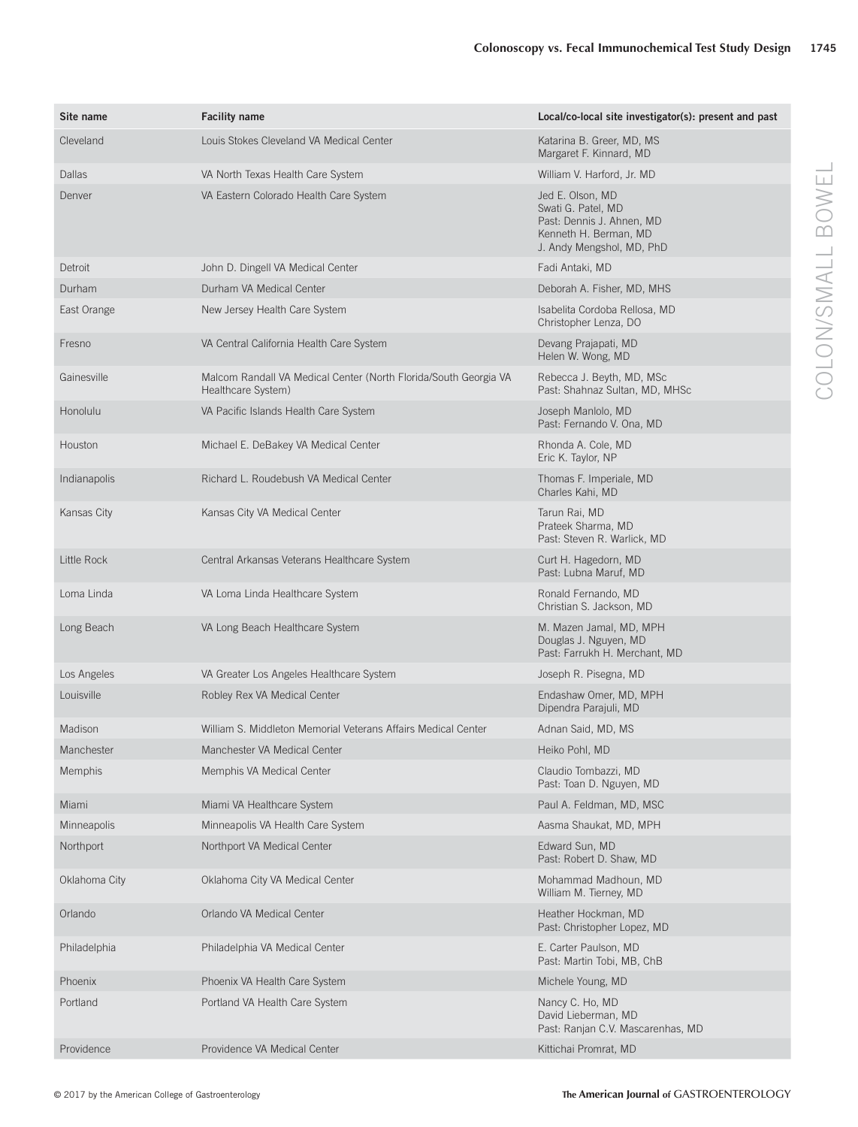| Site name     | <b>Facility name</b>                                                                   | Local/co-local site investigator(s): present and past                                                                     |
|---------------|----------------------------------------------------------------------------------------|---------------------------------------------------------------------------------------------------------------------------|
| Cleveland     | Louis Stokes Cleveland VA Medical Center                                               | Katarina B. Greer, MD, MS<br>Margaret F. Kinnard, MD                                                                      |
| Dallas        | VA North Texas Health Care System                                                      | William V. Harford, Jr. MD                                                                                                |
| Denver        | VA Eastern Colorado Health Care System                                                 | Jed E. Olson, MD<br>Swati G. Patel, MD<br>Past: Dennis J. Ahnen, MD<br>Kenneth H. Berman, MD<br>J. Andy Mengshol, MD, PhD |
| Detroit       | John D. Dingell VA Medical Center                                                      | Fadi Antaki, MD                                                                                                           |
| Durham        | Durham VA Medical Center                                                               | Deborah A. Fisher, MD, MHS                                                                                                |
| East Orange   | New Jersey Health Care System                                                          | Isabelita Cordoba Rellosa, MD<br>Christopher Lenza, DO                                                                    |
| Fresno        | VA Central California Health Care System                                               | Devang Prajapati, MD<br>Helen W. Wong, MD                                                                                 |
| Gainesville   | Malcom Randall VA Medical Center (North Florida/South Georgia VA<br>Healthcare System) | Rebecca J. Beyth, MD, MSc<br>Past: Shahnaz Sultan, MD, MHSc                                                               |
| Honolulu      | VA Pacific Islands Health Care System                                                  | Joseph Manlolo, MD<br>Past: Fernando V. Ona, MD                                                                           |
| Houston       | Michael E. DeBakey VA Medical Center                                                   | Rhonda A. Cole, MD<br>Eric K. Taylor, NP                                                                                  |
| Indianapolis  | Richard L. Roudebush VA Medical Center                                                 | Thomas F. Imperiale, MD<br>Charles Kahi, MD                                                                               |
| Kansas City   | Kansas City VA Medical Center                                                          | Tarun Rai, MD<br>Prateek Sharma, MD<br>Past: Steven R. Warlick, MD                                                        |
| Little Rock   | Central Arkansas Veterans Healthcare System                                            | Curt H. Hagedorn, MD<br>Past: Lubna Maruf, MD                                                                             |
| Loma Linda    | VA Loma Linda Healthcare System                                                        | Ronald Fernando, MD<br>Christian S. Jackson, MD                                                                           |
| Long Beach    | VA Long Beach Healthcare System                                                        | M. Mazen Jamal, MD, MPH<br>Douglas J. Nguyen, MD<br>Past: Farrukh H. Merchant, MD                                         |
| Los Angeles   | VA Greater Los Angeles Healthcare System                                               | Joseph R. Pisegna, MD                                                                                                     |
| Louisville    | Robley Rex VA Medical Center                                                           | Endashaw Omer, MD, MPH<br>Dipendra Parajuli, MD                                                                           |
| Madison       | William S. Middleton Memorial Veterans Affairs Medical Center                          | Adnan Said, MD, MS                                                                                                        |
| Manchester    | Manchester VA Medical Center                                                           | Heiko Pohl, MD                                                                                                            |
| Memphis       | Memphis VA Medical Center                                                              | Claudio Tombazzi, MD<br>Past: Toan D. Nguyen, MD                                                                          |
| Miami         | Miami VA Healthcare System                                                             | Paul A. Feldman, MD, MSC                                                                                                  |
| Minneapolis   | Minneapolis VA Health Care System                                                      | Aasma Shaukat, MD, MPH                                                                                                    |
| Northport     | Northport VA Medical Center                                                            | Edward Sun, MD<br>Past: Robert D. Shaw, MD                                                                                |
| Oklahoma City | Oklahoma City VA Medical Center                                                        | Mohammad Madhoun, MD<br>William M. Tierney, MD                                                                            |
| Orlando       | Orlando VA Medical Center                                                              | Heather Hockman, MD<br>Past: Christopher Lopez, MD                                                                        |
| Philadelphia  | Philadelphia VA Medical Center                                                         | E. Carter Paulson, MD<br>Past: Martin Tobi, MB, ChB                                                                       |
| Phoenix       | Phoenix VA Health Care System                                                          | Michele Young, MD                                                                                                         |
| Portland      | Portland VA Health Care System                                                         | Nancy C. Ho, MD<br>David Lieberman, MD<br>Past: Ranjan C.V. Mascarenhas, MD                                               |
| Providence    | Providence VA Medical Center                                                           | Kittichai Promrat, MD                                                                                                     |